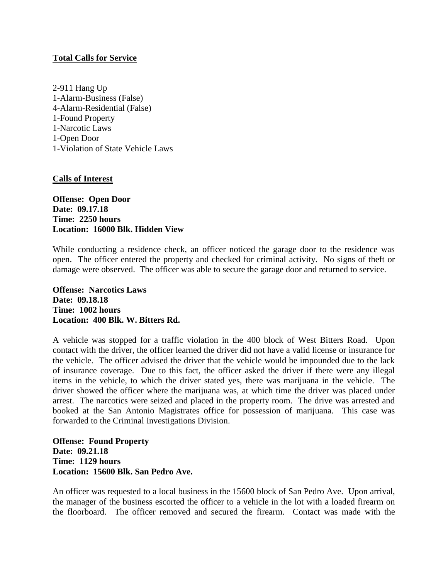## **Total Calls for Service**

2-911 Hang Up 1-Alarm-Business (False) 4-Alarm-Residential (False) 1-Found Property 1-Narcotic Laws 1-Open Door 1-Violation of State Vehicle Laws

## **Calls of Interest**

**Offense: Open Door Date: 09.17.18 Time: 2250 hours Location: 16000 Blk. Hidden View**

While conducting a residence check, an officer noticed the garage door to the residence was open. The officer entered the property and checked for criminal activity. No signs of theft or damage were observed. The officer was able to secure the garage door and returned to service.

**Offense: Narcotics Laws Date: 09.18.18 Time: 1002 hours Location: 400 Blk. W. Bitters Rd.**

A vehicle was stopped for a traffic violation in the 400 block of West Bitters Road. Upon contact with the driver, the officer learned the driver did not have a valid license or insurance for the vehicle. The officer advised the driver that the vehicle would be impounded due to the lack of insurance coverage. Due to this fact, the officer asked the driver if there were any illegal items in the vehicle, to which the driver stated yes, there was marijuana in the vehicle. The driver showed the officer where the marijuana was, at which time the driver was placed under arrest. The narcotics were seized and placed in the property room. The drive was arrested and booked at the San Antonio Magistrates office for possession of marijuana. This case was forwarded to the Criminal Investigations Division.

**Offense: Found Property Date: 09.21.18 Time: 1129 hours Location: 15600 Blk. San Pedro Ave.**

An officer was requested to a local business in the 15600 block of San Pedro Ave. Upon arrival, the manager of the business escorted the officer to a vehicle in the lot with a loaded firearm on the floorboard. The officer removed and secured the firearm. Contact was made with the